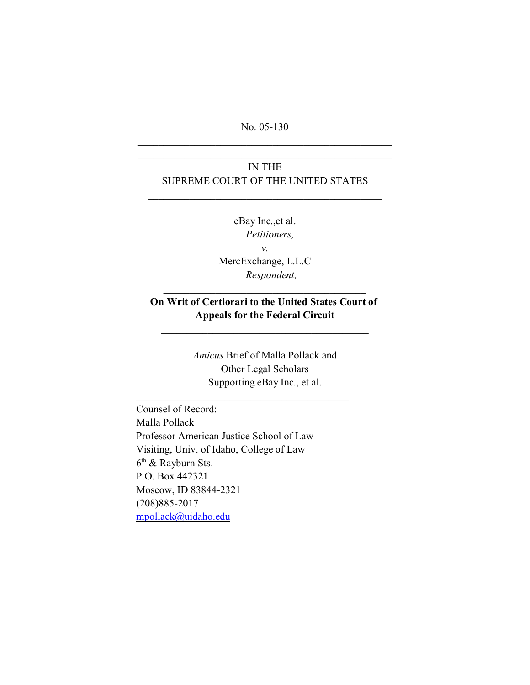No. 05-130

\_\_\_\_\_\_\_\_\_\_\_\_\_\_\_\_\_\_\_\_\_\_\_\_\_\_\_\_\_\_\_\_\_\_\_\_\_\_\_\_\_\_\_\_\_\_\_\_\_

# IN THE SUPREME COURT OF THE UNITED STATES

\_\_\_\_\_\_\_\_\_\_\_\_\_\_\_\_\_\_\_\_\_\_\_\_\_\_\_\_\_\_\_\_\_\_\_\_\_\_\_\_\_\_\_\_\_

eBay Inc.,et al. *Petitioners, v.* MercExchange, L.L.C *Respondent,*

# **On Writ of Certiorari to the United States Court of Appeals for the Federal Circuit**

*Amicus* Brief of Malla Pollack and Other Legal Scholars Supporting eBay Inc., et al.

\_\_\_\_\_\_\_\_\_\_\_\_\_\_\_\_\_\_\_\_\_\_\_\_\_\_\_\_\_\_\_\_\_\_\_\_\_\_\_\_\_

Counsel of Record: Malla Pollack Professor American Justice School of Law Visiting, Univ. of Idaho, College of Law 6<sup>th</sup> & Rayburn Sts. P.O. Box 442321 Moscow, ID 83844-2321 (208)885-2017 [mpollack@uidaho.edu](mailto:mpollack@uidaho.edu)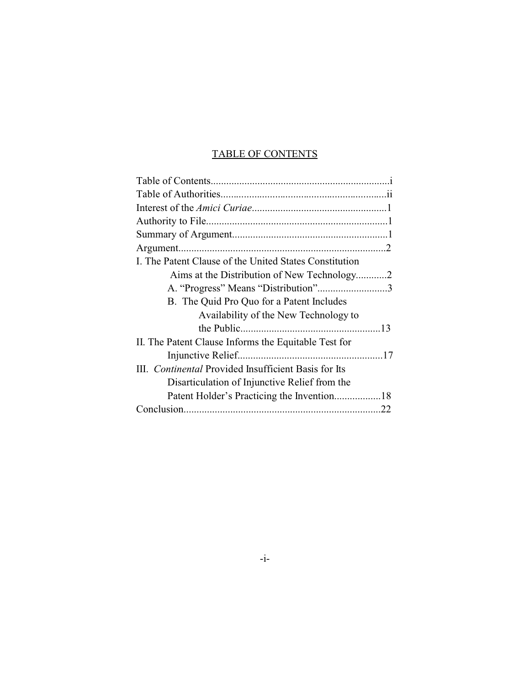# TABLE OF CONTENTS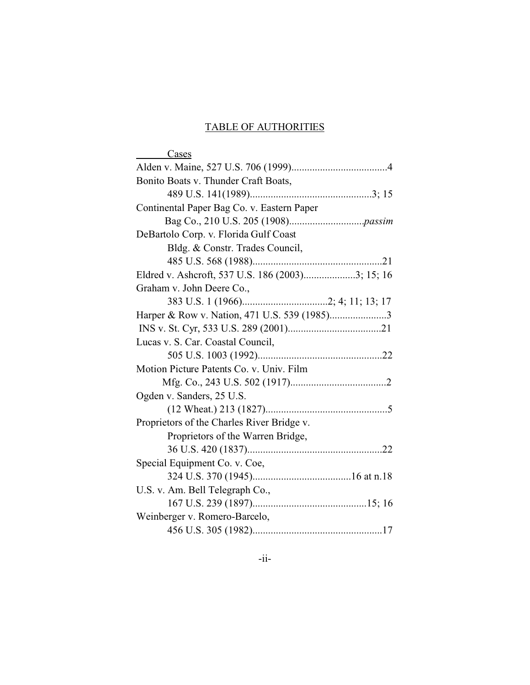# TABLE OF AUTHORITIES

| Cases                                            |
|--------------------------------------------------|
|                                                  |
| Bonito Boats v. Thunder Craft Boats,             |
|                                                  |
| Continental Paper Bag Co. v. Eastern Paper       |
|                                                  |
| DeBartolo Corp. v. Florida Gulf Coast            |
| Bldg. & Constr. Trades Council,                  |
|                                                  |
| Eldred v. Ashcroft, 537 U.S. 186 (2003)3; 15; 16 |
| Graham v. John Deere Co.,                        |
|                                                  |
|                                                  |
|                                                  |
| Lucas v. S. Car. Coastal Council,                |
|                                                  |
| Motion Picture Patents Co. v. Univ. Film         |
|                                                  |
| Ogden v. Sanders, 25 U.S.                        |
|                                                  |
| Proprietors of the Charles River Bridge v.       |
| Proprietors of the Warren Bridge,                |
|                                                  |
| Special Equipment Co. v. Coe,                    |
|                                                  |
| U.S. v. Am. Bell Telegraph Co.,                  |
|                                                  |
| Weinberger v. Romero-Barcelo,                    |
|                                                  |
|                                                  |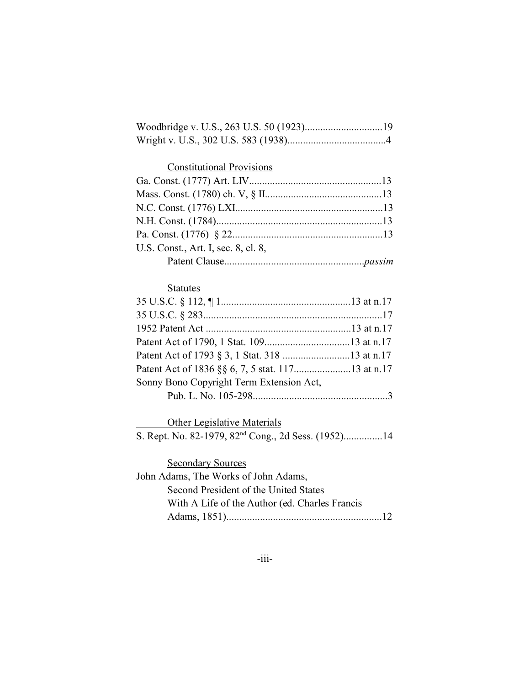## Constitutional Provisions

| U.S. Const., Art. I, sec. 8, cl. 8, |  |
|-------------------------------------|--|
|                                     |  |

# **Statutes**

| Sonny Bono Copyright Term Extension Act, |  |
|------------------------------------------|--|
|                                          |  |
|                                          |  |

Other Legislative Materials

S. Rept. No. 82-1979, 82<sup>nd</sup> Cong., 2d Sess. (1952)................14

**Secondary Sources** John Adams, The Works of John Adams, Second President of the United States With A Life of the Author (ed. Charles Francis Adams, 1851)............................................................12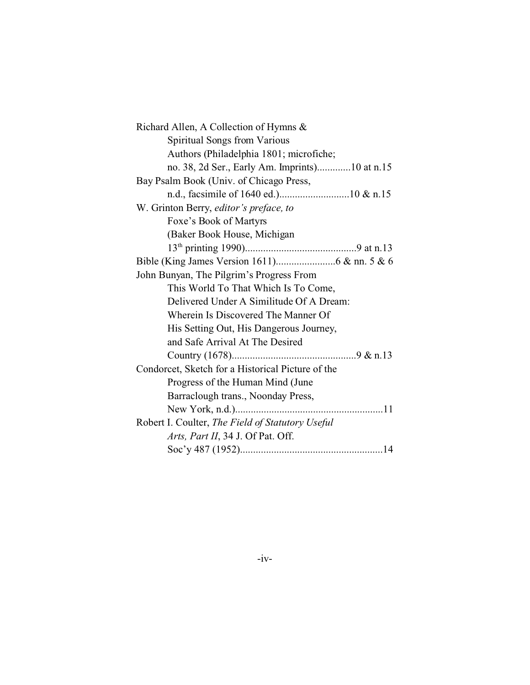| Richard Allen, A Collection of Hymns &            |
|---------------------------------------------------|
| <b>Spiritual Songs from Various</b>               |
| Authors (Philadelphia 1801; microfiche;           |
| no. 38, 2d Ser., Early Am. Imprints)10 at n.15    |
| Bay Psalm Book (Univ. of Chicago Press,           |
|                                                   |
| W. Grinton Berry, editor's preface, to            |
| Foxe's Book of Martyrs                            |
| (Baker Book House, Michigan                       |
|                                                   |
|                                                   |
| John Bunyan, The Pilgrim's Progress From          |
| This World To That Which Is To Come,              |
| Delivered Under A Similitude Of A Dream:          |
| Wherein Is Discovered The Manner Of               |
| His Setting Out, His Dangerous Journey,           |
| and Safe Arrival At The Desired                   |
|                                                   |
| Condorcet, Sketch for a Historical Picture of the |
| Progress of the Human Mind (June                  |
| Barraclough trans., Noonday Press,                |
| New York, n.d.)                                   |
| Robert I. Coulter, The Field of Statutory Useful  |
| Arts, Part II, 34 J. Of Pat. Off.                 |
|                                                   |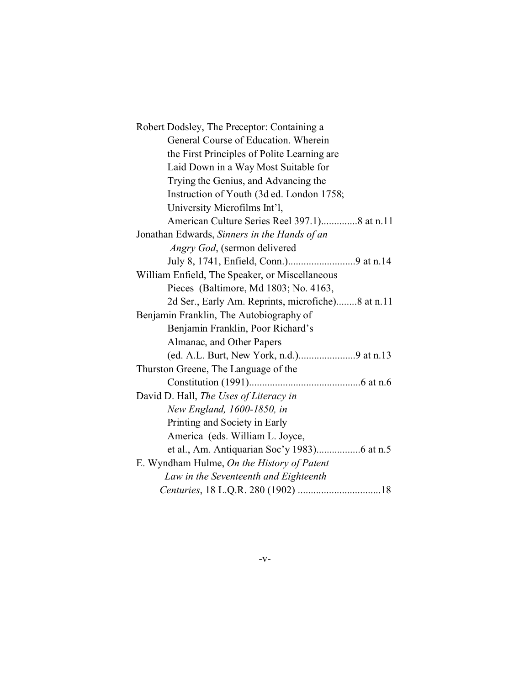| Robert Dodsley, The Preceptor: Containing a       |
|---------------------------------------------------|
| General Course of Education. Wherein              |
| the First Principles of Polite Learning are       |
| Laid Down in a Way Most Suitable for              |
| Trying the Genius, and Advancing the              |
| Instruction of Youth (3d ed. London 1758;         |
| University Microfilms Int'l,                      |
| American Culture Series Reel 397.1)8 at n.11      |
| Jonathan Edwards, Sinners in the Hands of an      |
| Angry God, (sermon delivered                      |
|                                                   |
| William Enfield, The Speaker, or Miscellaneous    |
| Pieces (Baltimore, Md 1803; No. 4163,             |
| 2d Ser., Early Am. Reprints, microfiche)8 at n.11 |
| Benjamin Franklin, The Autobiography of           |
| Benjamin Franklin, Poor Richard's                 |
| Almanac, and Other Papers                         |
|                                                   |
| Thurston Greene, The Language of the              |
|                                                   |
| David D. Hall, The Uses of Literacy in            |
| New England, 1600-1850, in                        |
| Printing and Society in Early                     |
| America (eds. William L. Joyce,                   |
|                                                   |
| E. Wyndham Hulme, On the History of Patent        |
| Law in the Seventeenth and Eighteenth             |
|                                                   |
|                                                   |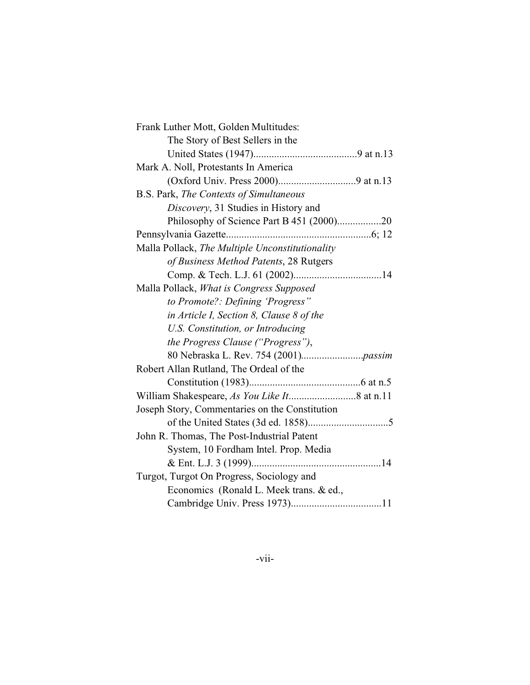| Frank Luther Mott, Golden Multitudes:           |  |
|-------------------------------------------------|--|
| The Story of Best Sellers in the                |  |
|                                                 |  |
| Mark A. Noll, Protestants In America            |  |
|                                                 |  |
| B.S. Park, The Contexts of Simultaneous         |  |
| Discovery, 31 Studies in History and            |  |
| Philosophy of Science Part B 451 (2000)20       |  |
|                                                 |  |
| Malla Pollack, The Multiple Unconstitutionality |  |
| of Business Method Patents, 28 Rutgers          |  |
|                                                 |  |
| Malla Pollack, What is Congress Supposed        |  |
| to Promote?: Defining 'Progress"                |  |
| in Article I, Section 8, Clause 8 of the        |  |
| U.S. Constitution, or Introducing               |  |
| the Progress Clause ("Progress"),               |  |
|                                                 |  |
| Robert Allan Rutland, The Ordeal of the         |  |
|                                                 |  |
|                                                 |  |
| Joseph Story, Commentaries on the Constitution  |  |
|                                                 |  |
| John R. Thomas, The Post-Industrial Patent      |  |
| System, 10 Fordham Intel. Prop. Media           |  |
|                                                 |  |
| Turgot, Turgot On Progress, Sociology and       |  |
| Economics (Ronald L. Meek trans. & ed.,         |  |
|                                                 |  |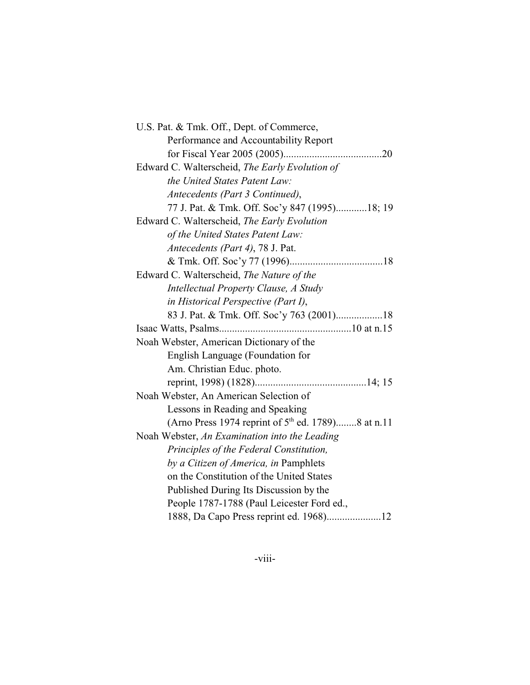| U.S. Pat. & Tmk. Off., Dept. of Commerce,                      |
|----------------------------------------------------------------|
| Performance and Accountability Report                          |
|                                                                |
| Edward C. Walterscheid, The Early Evolution of                 |
| the United States Patent Law:                                  |
| Antecedents (Part 3 Continued),                                |
| 77 J. Pat. & Tmk. Off. Soc'y 847 (1995)18; 19                  |
| Edward C. Walterscheid, The Early Evolution                    |
| of the United States Patent Law:                               |
| Antecedents (Part 4), 78 J. Pat.                               |
|                                                                |
| Edward C. Walterscheid, The Nature of the                      |
| Intellectual Property Clause, A Study                          |
| in Historical Perspective (Part I),                            |
| 83 J. Pat. & Tmk. Off. Soc'y 763 (2001)18                      |
|                                                                |
|                                                                |
| Noah Webster, American Dictionary of the                       |
| English Language (Foundation for                               |
| Am. Christian Educ. photo.                                     |
|                                                                |
| Noah Webster, An American Selection of                         |
| Lessons in Reading and Speaking                                |
| (Arno Press 1974 reprint of 5 <sup>th</sup> ed. 1789)8 at n.11 |
| Noah Webster, An Examination into the Leading                  |
| Principles of the Federal Constitution,                        |
| by a Citizen of America, in Pamphlets                          |
| on the Constitution of the United States                       |
| Published During Its Discussion by the                         |
| People 1787-1788 (Paul Leicester Ford ed.,                     |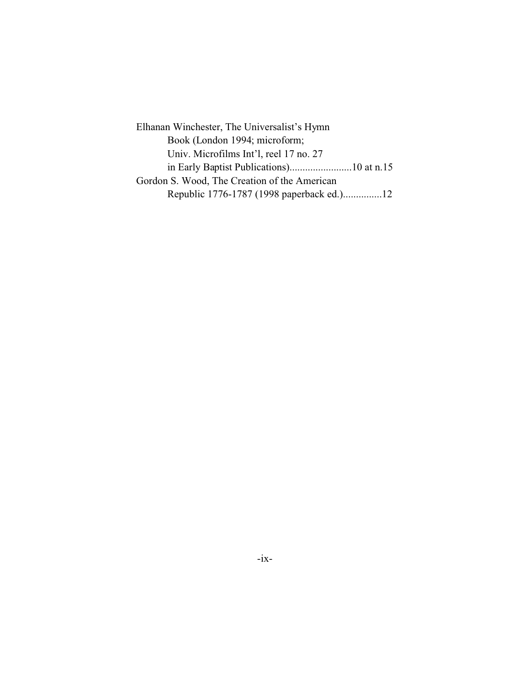Elhanan Winchester, The Universalist's Hymn Book (London 1994; microform; Univ. Microfilms Int'l, reel 17 no. 27 in Early Baptist Publications)........................10 at n.15 Gordon S. Wood, The Creation of the American Republic 1776-1787 (1998 paperback ed.)...............12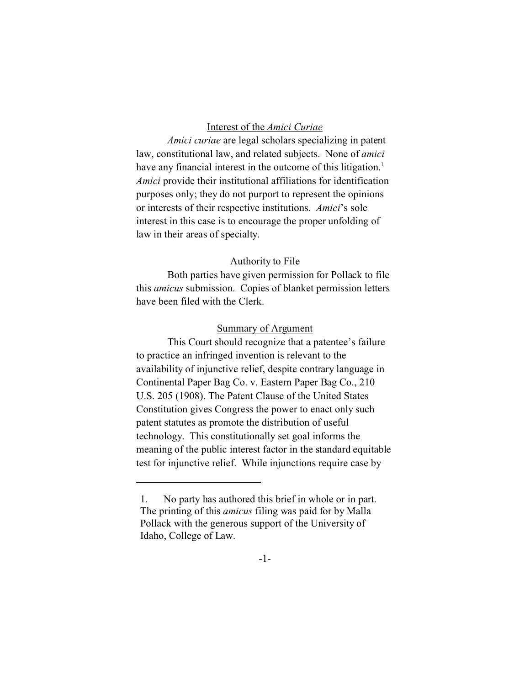### Interest of the *Amici Curiae*

*Amici curiae* are legal scholars specializing in patent law, constitutional law, and related subjects. None of *amici* have any financial interest in the outcome of this litigation.<sup>1</sup> *Amici* provide their institutional affiliations for identification purposes only; they do not purport to represent the opinions or interests of their respective institutions. *Amici*'s sole interest in this case is to encourage the proper unfolding of law in their areas of specialty.

### Authority to File

Both parties have given permission for Pollack to file this *amicus* submission. Copies of blanket permission letters have been filed with the Clerk.

### Summary of Argument

This Court should recognize that a patentee's failure to practice an infringed invention is relevant to the availability of injunctive relief, despite contrary language in Continental Paper Bag Co. v. Eastern Paper Bag Co., 210 U.S. 205 (1908). The Patent Clause of the United States Constitution gives Congress the power to enact only such patent statutes as promote the distribution of useful technology. This constitutionally set goal informs the meaning of the public interest factor in the standard equitable test for injunctive relief. While injunctions require case by

<sup>1.</sup> No party has authored this brief in whole or in part. The printing of this *amicus* filing was paid for by Malla Pollack with the generous support of the University of Idaho, College of Law.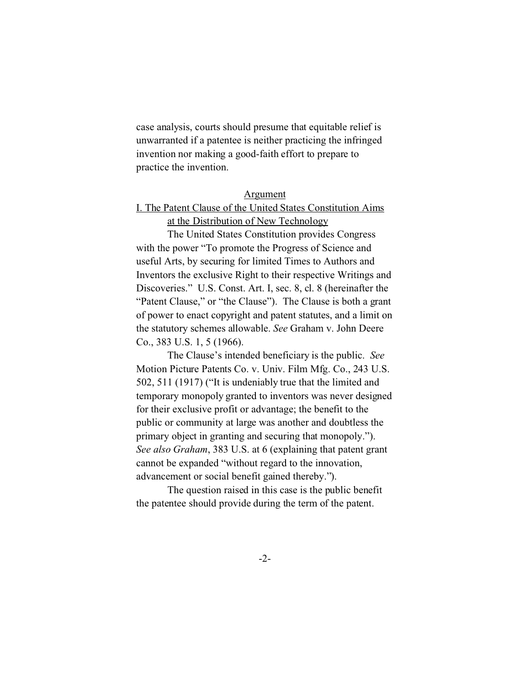case analysis, courts should presume that equitable relief is unwarranted if a patentee is neither practicing the infringed invention nor making a good-faith effort to prepare to practice the invention.

#### Argument

## I. The Patent Clause of the United States Constitution Aims at the Distribution of New Technology

The United States Constitution provides Congress with the power "To promote the Progress of Science and useful Arts, by securing for limited Times to Authors and Inventors the exclusive Right to their respective Writings and Discoveries." U.S. Const. Art. I, sec. 8, cl. 8 (hereinafter the "Patent Clause," or "the Clause"). The Clause is both a grant of power to enact copyright and patent statutes, and a limit on the statutory schemes allowable. *See* Graham v. John Deere Co., 383 U.S. 1, 5 (1966).

The Clause's intended beneficiary is the public. *See* Motion Picture Patents Co. v. Univ. Film Mfg. Co., 243 U.S. 502, 511 (1917) ("It is undeniably true that the limited and temporary monopoly granted to inventors was never designed for their exclusive profit or advantage; the benefit to the public or community at large was another and doubtless the primary object in granting and securing that monopoly."). *See also Graham*, 383 U.S. at 6 (explaining that patent grant cannot be expanded "without regard to the innovation, advancement or social benefit gained thereby.").

The question raised in this case is the public benefit the patentee should provide during the term of the patent.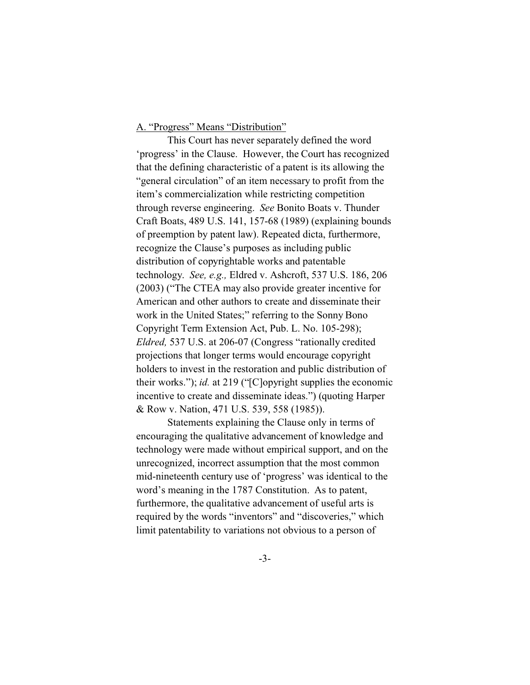### A. "Progress" Means "Distribution"

This Court has never separately defined the word 'progress' in the Clause. However, the Court has recognized that the defining characteristic of a patent is its allowing the "general circulation" of an item necessary to profit from the item's commercialization while restricting competition through reverse engineering. *See* Bonito Boats v. Thunder Craft Boats, 489 U.S. 141, 157-68 (1989) (explaining bounds of preemption by patent law). Repeated dicta, furthermore, recognize the Clause's purposes as including public distribution of copyrightable works and patentable technology. *See, e.g.,* Eldred v. Ashcroft, 537 U.S. 186, 206 (2003) ("The CTEA may also provide greater incentive for American and other authors to create and disseminate their work in the United States;" referring to the Sonny Bono Copyright Term Extension Act, Pub. L. No. 105-298); *Eldred,* 537 U.S. at 206-07 (Congress "rationally credited projections that longer terms would encourage copyright holders to invest in the restoration and public distribution of their works."); *id.* at 219 ("[C]opyright supplies the economic incentive to create and disseminate ideas.") (quoting Harper & Row v. Nation, 471 U.S. 539, 558 (1985)).

Statements explaining the Clause only in terms of encouraging the qualitative advancement of knowledge and technology were made without empirical support, and on the unrecognized, incorrect assumption that the most common mid-nineteenth century use of 'progress' was identical to the word's meaning in the 1787 Constitution. As to patent, furthermore, the qualitative advancement of useful arts is required by the words "inventors" and "discoveries," which limit patentability to variations not obvious to a person of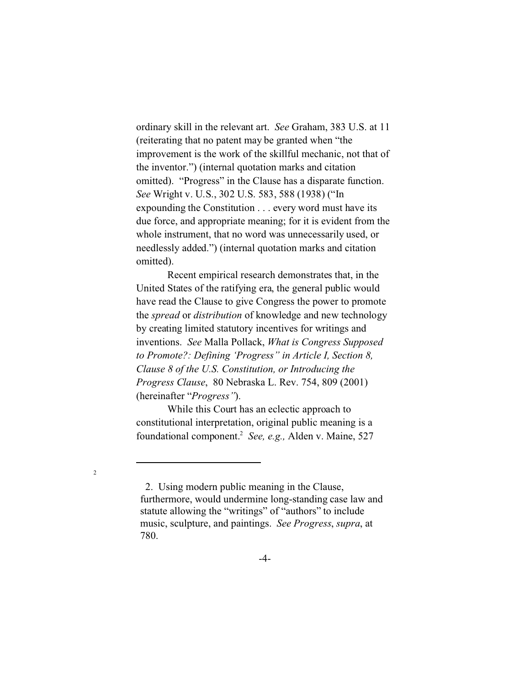ordinary skill in the relevant art. *See* Graham, 383 U.S. at 11 (reiterating that no patent may be granted when "the improvement is the work of the skillful mechanic, not that of the inventor.") (internal quotation marks and citation omitted). "Progress" in the Clause has a disparate function. *See* Wright v. U.S., 302 U.S. 583, 588 (1938) ("In expounding the Constitution . . . every word must have its due force, and appropriate meaning; for it is evident from the whole instrument, that no word was unnecessarily used, or needlessly added.") (internal quotation marks and citation omitted).

Recent empirical research demonstrates that, in the United States of the ratifying era, the general public would have read the Clause to give Congress the power to promote the *spread* or *distribution* of knowledge and new technology by creating limited statutory incentives for writings and inventions. *See* Malla Pollack, *What is Congress Supposed to Promote?: Defining 'Progress" in Article I, Section 8, Clause 8 of the U.S. Constitution, or Introducing the Progress Clause*, 80 Nebraska L. Rev. 754, 809 (2001) (hereinafter "*Progress"*).

While this Court has an eclectic approach to constitutional interpretation, original public meaning is a foundational component.<sup>2</sup> *See, e.g.,* Alden v. Maine, 527

 <sup>2.</sup> Using modern public meaning in the Clause, furthermore, would undermine long-standing case law and statute allowing the "writings" of "authors" to include music, sculpture, and paintings. *See Progress*, *supra*, at 780.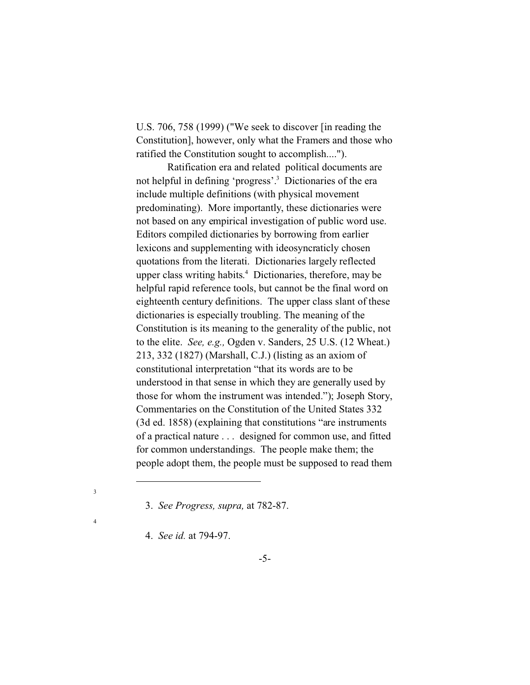U.S. 706, 758 (1999) ("We seek to discover [in reading the Constitution], however, only what the Framers and those who ratified the Constitution sought to accomplish....").

Ratification era and related political documents are not helpful in defining 'progress'.<sup>3</sup> Dictionaries of the era include multiple definitions (with physical movement predominating). More importantly, these dictionaries were not based on any empirical investigation of public word use. Editors compiled dictionaries by borrowing from earlier lexicons and supplementing with ideosyncraticly chosen quotations from the literati. Dictionaries largely reflected upper class writing habits. 4 Dictionaries, therefore, may be helpful rapid reference tools, but cannot be the final word on eighteenth century definitions. The upper class slant of these dictionaries is especially troubling. The meaning of the Constitution is its meaning to the generality of the public, not to the elite. *See, e.g.,* Ogden v. Sanders, 25 U.S. (12 Wheat.) 213, 332 (1827) (Marshall, C.J.) (listing as an axiom of constitutional interpretation "that its words are to be understood in that sense in which they are generally used by those for whom the instrument was intended."); Joseph Story, Commentaries on the Constitution of the United States 332 (3d ed. 1858) (explaining that constitutions "are instruments of a practical nature . . . designed for common use, and fitted for common understandings. The people make them; the people adopt them, the people must be supposed to read them

3

 <sup>3.</sup> *See Progress, supra,* at 782-87.

 <sup>4.</sup> *See id.* at 794-97.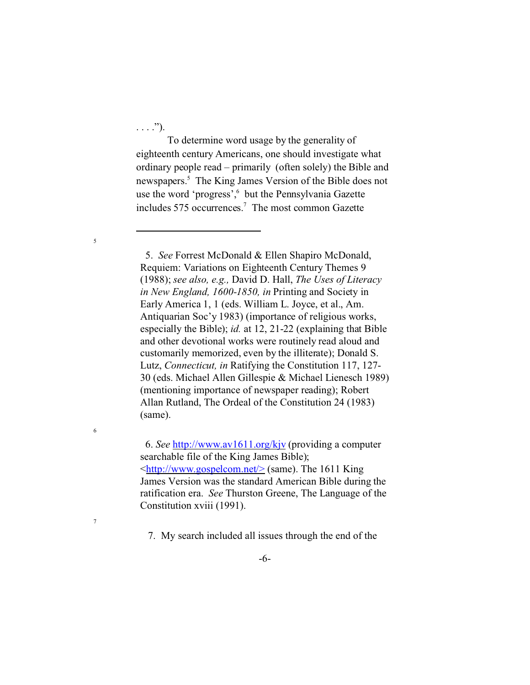$\ldots$ .").

5

6

7

To determine word usage by the generality of eighteenth century Americans, one should investigate what ordinary people read – primarily (often solely) the Bible and newspapers.<sup>5</sup> The King James Version of the Bible does not use the word 'progress', but the Pennsylvania Gazette includes 575 occurrences.<sup>7</sup> The most common Gazette

 5. *See* Forrest McDonald & Ellen Shapiro McDonald, Requiem: Variations on Eighteenth Century Themes 9 (1988); *see also, e.g.,* David D. Hall, *The Uses of Literacy in New England, 1600-1850, in* Printing and Society in Early America 1, 1 (eds. William L. Joyce, et al., Am. Antiquarian Soc'y 1983) (importance of religious works, especially the Bible); *id.* at 12, 21-22 (explaining that Bible and other devotional works were routinely read aloud and customarily memorized, even by the illiterate); Donald S. Lutz, *Connecticut, in* Ratifying the Constitution 117, 127- 30 (eds. Michael Allen Gillespie & Michael Lienesch 1989) (mentioning importance of newspaper reading); Robert Allan Rutland, The Ordeal of the Constitution 24 (1983) (same).

 6. *See* <http://www.av1611.org/kjv> (providing a computer searchable file of the King James Bible); [<http://www.gospelcom.net/>](http://<http://www.gospelcom.net/>) (same). The 1611 King James Version was the standard American Bible during the ratification era. *See* Thurston Greene, The Language of the Constitution xviii (1991).

7. My search included all issues through the end of the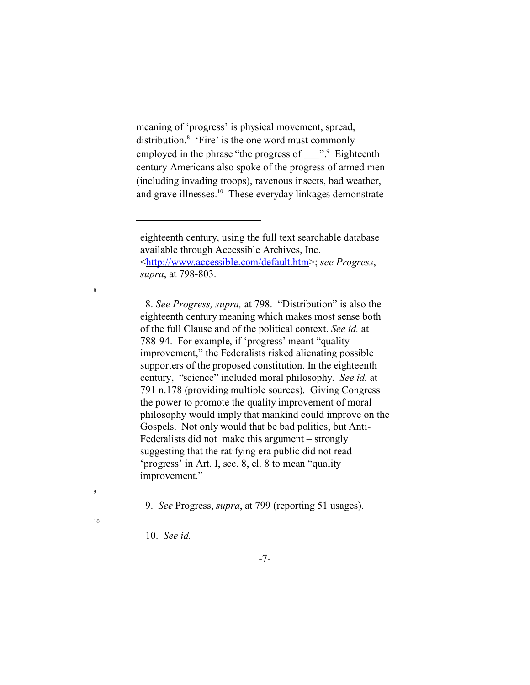meaning of 'progress' is physical movement, spread, distribution.<sup>8</sup> 'Fire' is the one word must commonly employed in the phrase "the progress of with Bighteenth century Americans also spoke of the progress of armed men (including invading troops), ravenous insects, bad weather, and grave illnesses.10 These everyday linkages demonstrate

 8. *See Progress, supra,* at 798. "Distribution" is also the eighteenth century meaning which makes most sense both of the full Clause and of the political context. *See id.* at 788-94. For example, if 'progress' meant "quality improvement," the Federalists risked alienating possible supporters of the proposed constitution. In the eighteenth century, "science" included moral philosophy. *See id.* at 791 n.178 (providing multiple sources). Giving Congress the power to promote the quality improvement of moral philosophy would imply that mankind could improve on the Gospels. Not only would that be bad politics, but Anti-Federalists did not make this argument – strongly suggesting that the ratifying era public did not read 'progress' in Art. I, sec. 8, cl. 8 to mean "quality improvement."

9. *See* Progress, *supra*, at 799 (reporting 51 usages).

10. *See id.*

8

9

eighteenth century, using the full text searchable database available through Accessible Archives, Inc. [<http://www.accessible.com/default.htm](http://<http://www.accessible.com/default.htm>,)>; *see Progress*, *supra*, at 798-803.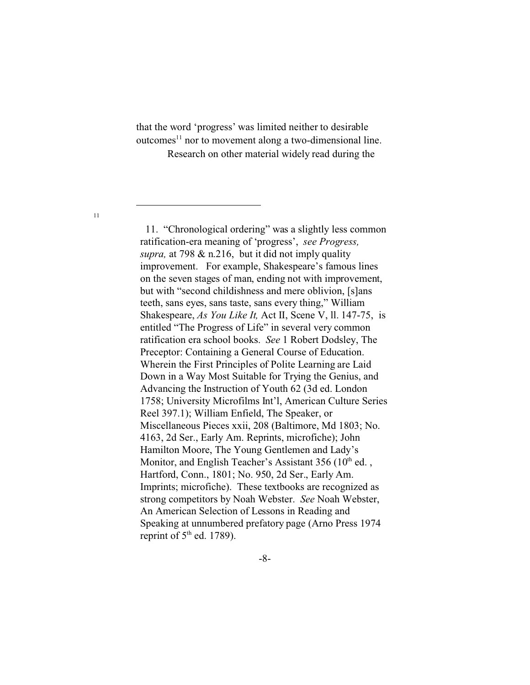that the word 'progress' was limited neither to desirable  $outcomes<sup>11</sup>$  nor to movement along a two-dimensional line. Research on other material widely read during the

11

 11. "Chronological ordering" was a slightly less common ratification-era meaning of 'progress', *see Progress, supra,* at 798 & n.216, but it did not imply quality improvement. For example, Shakespeare's famous lines on the seven stages of man, ending not with improvement, but with "second childishness and mere oblivion, [s]ans teeth, sans eyes, sans taste, sans every thing," William Shakespeare, *As You Like It,* Act II, Scene V, ll. 147-75, is entitled "The Progress of Life" in several very common ratification era school books. *See* 1 Robert Dodsley, The Preceptor: Containing a General Course of Education. Wherein the First Principles of Polite Learning are Laid Down in a Way Most Suitable for Trying the Genius, and Advancing the Instruction of Youth 62 (3d ed. London 1758; University Microfilms Int'l, American Culture Series Reel 397.1); William Enfield, The Speaker, or Miscellaneous Pieces xxii, 208 (Baltimore, Md 1803; No. 4163, 2d Ser., Early Am. Reprints, microfiche); John Hamilton Moore, The Young Gentlemen and Lady's Monitor, and English Teacher's Assistant  $356 (10<sup>th</sup>$  ed., Hartford, Conn., 1801; No. 950, 2d Ser., Early Am. Imprints; microfiche). These textbooks are recognized as strong competitors by Noah Webster. *See* Noah Webster, An American Selection of Lessons in Reading and Speaking at unnumbered prefatory page (Arno Press 1974 reprint of  $5<sup>th</sup>$  ed. 1789).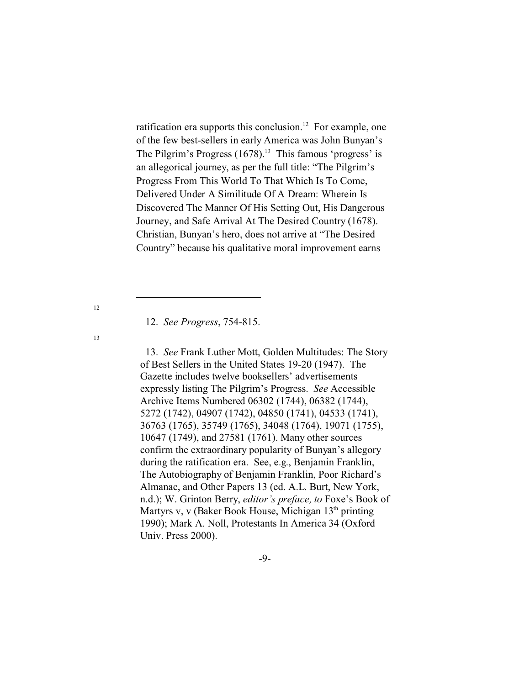ratification era supports this conclusion.<sup>12</sup> For example, one of the few best-sellers in early America was John Bunyan's The Pilgrim's Progress  $(1678)^{13}$  This famous 'progress' is an allegorical journey, as per the full title: "The Pilgrim's Progress From This World To That Which Is To Come, Delivered Under A Similitude Of A Dream: Wherein Is Discovered The Manner Of His Setting Out, His Dangerous Journey, and Safe Arrival At The Desired Country (1678). Christian, Bunyan's hero, does not arrive at "The Desired Country" because his qualitative moral improvement earns

12. *See Progress*, 754-815.

 13. *See* Frank Luther Mott, Golden Multitudes: The Story of Best Sellers in the United States 19-20 (1947). The Gazette includes twelve booksellers' advertisements expressly listing The Pilgrim's Progress. *See* Accessible Archive Items Numbered 06302 (1744), 06382 (1744), 5272 (1742), 04907 (1742), 04850 (1741), 04533 (1741), 36763 (1765), 35749 (1765), 34048 (1764), 19071 (1755), 10647 (1749), and 27581 (1761). Many other sources confirm the extraordinary popularity of Bunyan's allegory during the ratification era. See, e.g., Benjamin Franklin, The Autobiography of Benjamin Franklin, Poor Richard's Almanac, and Other Papers 13 (ed. A.L. Burt, New York, n.d.); W. Grinton Berry, *editor's preface, to* Foxe's Book of Martyrs v, v (Baker Book House, Michigan  $13<sup>th</sup>$  printing 1990); Mark A. Noll, Protestants In America 34 (Oxford Univ. Press 2000).

12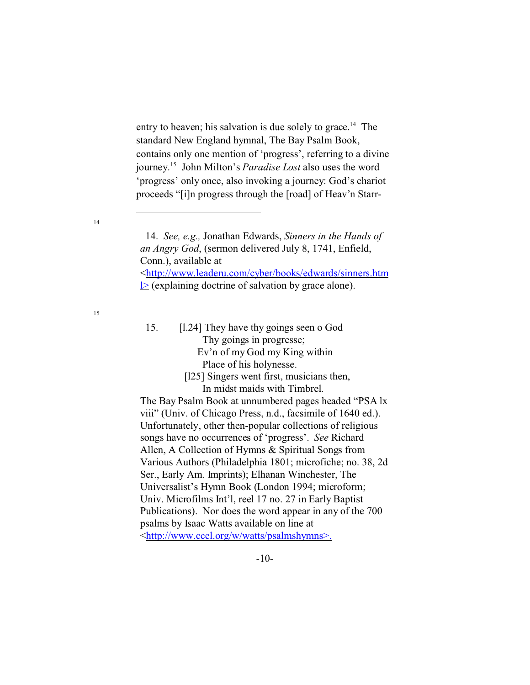entry to heaven; his salvation is due solely to grace.<sup>14</sup> The standard New England hymnal, The Bay Psalm Book, contains only one mention of 'progress', referring to a divine journey.<sup>15</sup> John Milton's *Paradise Lost* also uses the word 'progress' only once, also invoking a journey: God's chariot proceeds "[i]n progress through the [road] of Heav'n Starr-

#### 14

15

- 15. [l.24] They have thy goings seen o God Thy goings in progresse; Ev'n of my God my King within Place of his holynesse.
	- [125] Singers went first, musicians then, In midst maids with Timbrel.

The Bay Psalm Book at unnumbered pages headed "PSA lx viii" (Univ. of Chicago Press, n.d., facsimile of 1640 ed.). Unfortunately, other then-popular collections of religious songs have no occurrences of 'progress'. *See* Richard Allen, A Collection of Hymns & Spiritual Songs from Various Authors (Philadelphia 1801; microfiche; no. 38, 2d Ser., Early Am. Imprints); Elhanan Winchester, The Universalist's Hymn Book (London 1994; microform; Univ. Microfilms Int'l, reel 17 no. 27 in Early Baptist Publications). Nor does the word appear in any of the 700 psalms by Isaac Watts available on line at [<http://www.ccel.org/w/watts/psalmshymns>.](http://<http://www.ccel.org/w/watts/psalmshymns>.)

 <sup>14.</sup> *See, e.g.,* Jonathan Edwards, *Sinners in the Hands of an Angry God*, (sermon delivered July 8, 1741, Enfield, Conn.), available at [<http://www.leaderu.com/cyber/books/edwards/sinners.htm](http://<http://www.leaderu.com/cyber/books/edwards/sinners.html>)  $\geq$  (explaining doctrine of salvation by grace alone).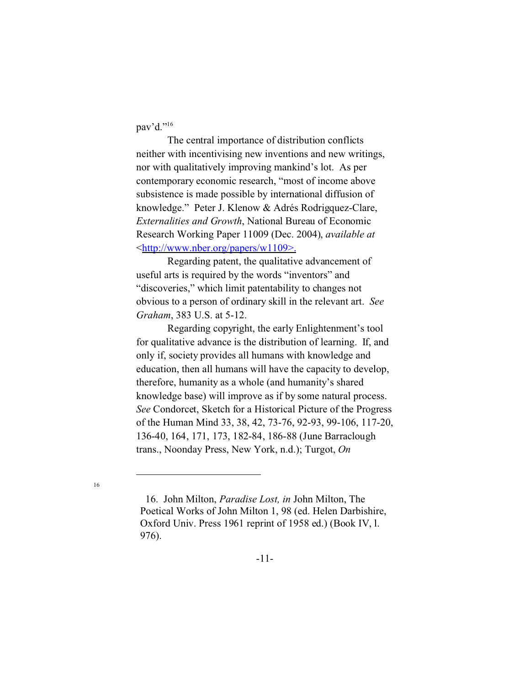pav'd."<sup>16</sup>

The central importance of distribution conflicts neither with incentivising new inventions and new writings, nor with qualitatively improving mankind's lot. As per contemporary economic research, "most of income above subsistence is made possible by international diffusion of knowledge." Peter J. Klenow & Adrés Rodrigquez-Clare, *Externalities and Growth*, National Bureau of Economic Research Working Paper 11009 (Dec. 2004), *available at* [<http://www.nber.org/papers/w1109>.](http://<http://www.nber.org/papers/w1109>.)

Regarding patent, the qualitative advancement of useful arts is required by the words "inventors" and "discoveries," which limit patentability to changes not obvious to a person of ordinary skill in the relevant art. *See Graham*, 383 U.S. at 5-12.

Regarding copyright, the early Enlightenment's tool for qualitative advance is the distribution of learning. If, and only if, society provides all humans with knowledge and education, then all humans will have the capacity to develop, therefore, humanity as a whole (and humanity's shared knowledge base) will improve as if by some natural process. *See* Condorcet, Sketch for a Historical Picture of the Progress of the Human Mind 33, 38, 42, 73-76, 92-93, 99-106, 117-20, 136-40, 164, 171, 173, 182-84, 186-88 (June Barraclough trans., Noonday Press, New York, n.d.); Turgot, *On*

 <sup>16.</sup> John Milton, *Paradise Lost, in* John Milton, The Poetical Works of John Milton 1, 98 (ed. Helen Darbishire, Oxford Univ. Press 1961 reprint of 1958 ed.) (Book IV, l. 976).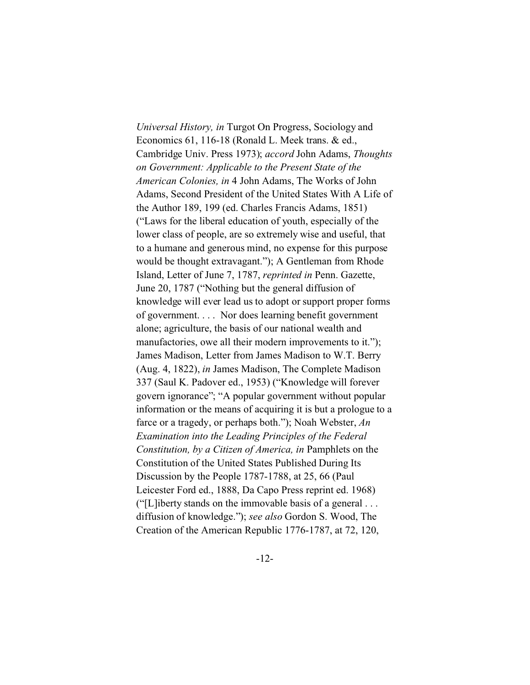*Universal History, in* Turgot On Progress, Sociology and Economics 61, 116-18 (Ronald L. Meek trans. & ed., Cambridge Univ. Press 1973); *accord* John Adams, *Thoughts on Government: Applicable to the Present State of the American Colonies, in* 4 John Adams, The Works of John Adams, Second President of the United States With A Life of the Author 189, 199 (ed. Charles Francis Adams, 1851) ("Laws for the liberal education of youth, especially of the lower class of people, are so extremely wise and useful, that to a humane and generous mind, no expense for this purpose would be thought extravagant."); A Gentleman from Rhode Island, Letter of June 7, 1787, *reprinted in* Penn. Gazette, June 20, 1787 ("Nothing but the general diffusion of knowledge will ever lead us to adopt or support proper forms of government. . . . Nor does learning benefit government alone; agriculture, the basis of our national wealth and manufactories, owe all their modern improvements to it."); James Madison, Letter from James Madison to W.T. Berry (Aug. 4, 1822), *in* James Madison, The Complete Madison 337 (Saul K. Padover ed., 1953) ("Knowledge will forever govern ignorance"; "A popular government without popular information or the means of acquiring it is but a prologue to a farce or a tragedy, or perhaps both."); Noah Webster, *An Examination into the Leading Principles of the Federal Constitution, by a Citizen of America, in* Pamphlets on the Constitution of the United States Published During Its Discussion by the People 1787-1788, at 25, 66 (Paul Leicester Ford ed., 1888, Da Capo Press reprint ed. 1968) ("[L]iberty stands on the immovable basis of a general . . . diffusion of knowledge."); *see also* Gordon S. Wood, The Creation of the American Republic 1776-1787, at 72, 120,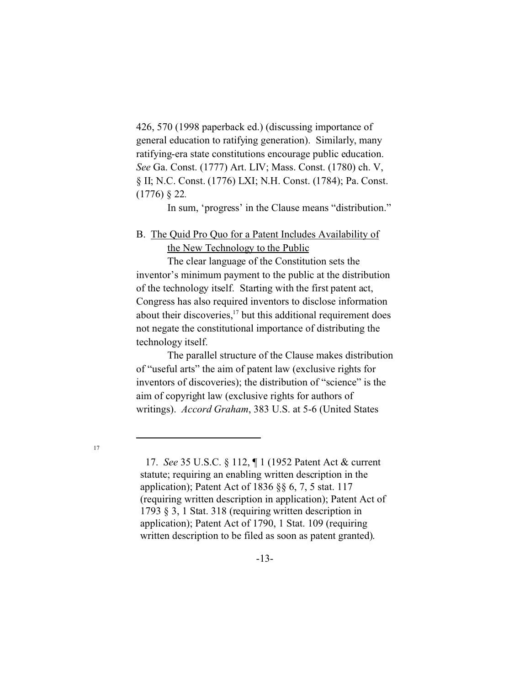426, 570 (1998 paperback ed.) (discussing importance of general education to ratifying generation). Similarly, many ratifying-era state constitutions encourage public education. *See* Ga. Const. (1777) Art. LIV; Mass. Const. (1780) ch. V, § II; N.C. Const. (1776) LXI; N.H. Const. (1784); Pa. Const. (1776) § 22*.*

In sum, 'progress' in the Clause means "distribution."

## B. The Quid Pro Quo for a Patent Includes Availability of the New Technology to the Public

The clear language of the Constitution sets the inventor's minimum payment to the public at the distribution of the technology itself. Starting with the first patent act, Congress has also required inventors to disclose information about their discoveries, $17$  but this additional requirement does not negate the constitutional importance of distributing the technology itself.

The parallel structure of the Clause makes distribution of "useful arts" the aim of patent law (exclusive rights for inventors of discoveries); the distribution of "science" is the aim of copyright law (exclusive rights for authors of writings). *Accord Graham*, 383 U.S. at 5-6 (United States

 <sup>17.</sup> *See* 35 U.S.C. § 112, ¶ 1 (1952 Patent Act & current statute; requiring an enabling written description in the application); Patent Act of 1836 §§ 6, 7, 5 stat. 117 (requiring written description in application); Patent Act of 1793 § 3, 1 Stat. 318 (requiring written description in application); Patent Act of 1790, 1 Stat. 109 (requiring written description to be filed as soon as patent granted).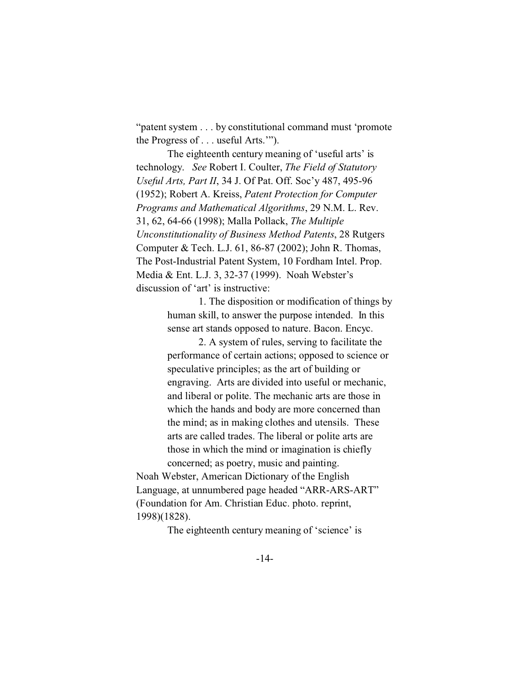"patent system . . . by constitutional command must 'promote the Progress of . . . useful Arts.'").

The eighteenth century meaning of 'useful arts' is technology. *See* Robert I. Coulter, *The Field of Statutory Useful Arts, Part II*, 34 J. Of Pat. Off. Soc'y 487, 495-96 (1952); Robert A. Kreiss, *Patent Protection for Computer Programs and Mathematical Algorithms*, 29 N.M. L. Rev. 31, 62, 64-66 (1998); Malla Pollack, *The Multiple Unconstitutionality of Business Method Patents*, 28 Rutgers Computer & Tech. L.J. 61, 86-87 (2002); John R. Thomas, The Post-Industrial Patent System, 10 Fordham Intel. Prop. Media & Ent. L.J. 3, 32-37 (1999). Noah Webster's discussion of 'art' is instructive:

> 1. The disposition or modification of things by human skill, to answer the purpose intended. In this sense art stands opposed to nature. Bacon. Encyc.

2. A system of rules, serving to facilitate the performance of certain actions; opposed to science or speculative principles; as the art of building or engraving. Arts are divided into useful or mechanic, and liberal or polite. The mechanic arts are those in which the hands and body are more concerned than the mind; as in making clothes and utensils. These arts are called trades. The liberal or polite arts are those in which the mind or imagination is chiefly concerned; as poetry, music and painting.

Noah Webster, American Dictionary of the English Language, at unnumbered page headed "ARR-ARS-ART" (Foundation for Am. Christian Educ. photo. reprint, 1998)(1828).

The eighteenth century meaning of 'science' is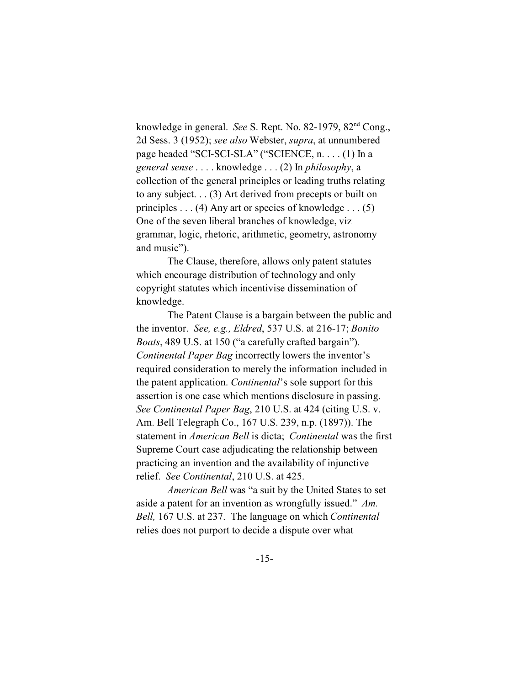knowledge in general. *See* S. Rept. No. 82-1979, 82nd Cong., 2d Sess. 3 (1952); *see also* Webster, *supra*, at unnumbered page headed "SCI-SCI-SLA" ("SCIENCE, n. . . . (1) In a *general sense* . . . . knowledge . . . (2) In *philosophy*, a collection of the general principles or leading truths relating to any subject. . . (3) Art derived from precepts or built on principles  $\dots$  (4) Any art or species of knowledge  $\dots$  (5) One of the seven liberal branches of knowledge, viz grammar, logic, rhetoric, arithmetic, geometry, astronomy and music").

The Clause, therefore, allows only patent statutes which encourage distribution of technology and only copyright statutes which incentivise dissemination of knowledge.

The Patent Clause is a bargain between the public and the inventor. *See, e.g., Eldred*, 537 U.S. at 216-17; *Bonito Boats*, 489 U.S. at 150 ("a carefully crafted bargain"). *Continental Paper Bag* incorrectly lowers the inventor's required consideration to merely the information included in the patent application. *Continental*'s sole support for this assertion is one case which mentions disclosure in passing. *See Continental Paper Bag*, 210 U.S. at 424 (citing U.S. v. Am. Bell Telegraph Co., 167 U.S. 239, n.p. (1897)). The statement in *American Bell* is dicta; *Continental* was the first Supreme Court case adjudicating the relationship between practicing an invention and the availability of injunctive relief. *See Continental*, 210 U.S. at 425.

*American Bell* was "a suit by the United States to set aside a patent for an invention as wrongfully issued." *Am. Bell,* 167 U.S. at 237. The language on which *Continental* relies does not purport to decide a dispute over what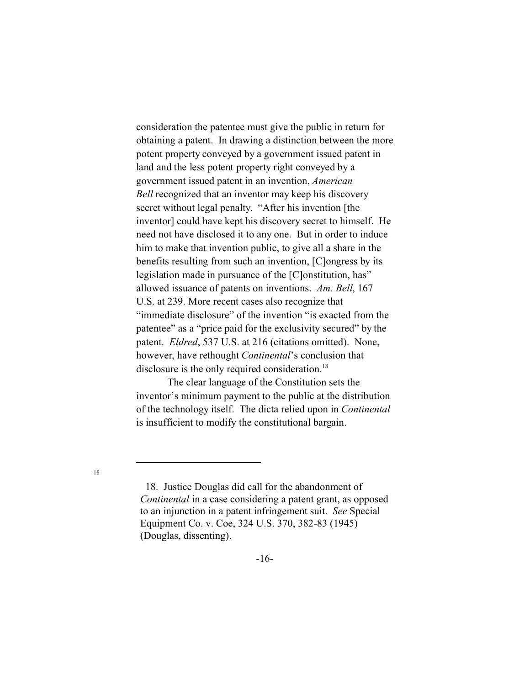consideration the patentee must give the public in return for obtaining a patent. In drawing a distinction between the more potent property conveyed by a government issued patent in land and the less potent property right conveyed by a government issued patent in an invention, *American Bell* recognized that an inventor may keep his discovery secret without legal penalty. "After his invention [the inventor] could have kept his discovery secret to himself. He need not have disclosed it to any one. But in order to induce him to make that invention public, to give all a share in the benefits resulting from such an invention, [C]ongress by its legislation made in pursuance of the [C]onstitution, has" allowed issuance of patents on inventions. *Am. Bell*, 167 U.S. at 239. More recent cases also recognize that "immediate disclosure" of the invention "is exacted from the patentee" as a "price paid for the exclusivity secured" by the patent. *Eldred*, 537 U.S. at 216 (citations omitted). None, however, have rethought *Continental*'s conclusion that disclosure is the only required consideration.<sup>18</sup>

The clear language of the Constitution sets the inventor's minimum payment to the public at the distribution of the technology itself. The dicta relied upon in *Continental* is insufficient to modify the constitutional bargain.

 <sup>18.</sup> Justice Douglas did call for the abandonment of *Continental* in a case considering a patent grant, as opposed to an injunction in a patent infringement suit. *See* Special Equipment Co. v. Coe, 324 U.S. 370, 382-83 (1945) (Douglas, dissenting).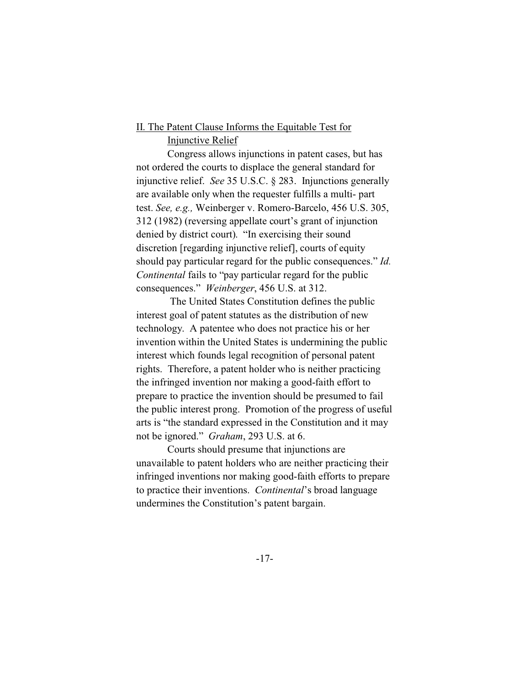## II. The Patent Clause Informs the Equitable Test for

### Injunctive Relief

Congress allows injunctions in patent cases, but has not ordered the courts to displace the general standard for injunctive relief. *See* 35 U.S.C. § 283. Injunctions generally are available only when the requester fulfills a multi- part test. *See, e.g.,* Weinberger v. Romero-Barcelo, 456 U.S. 305, 312 (1982) (reversing appellate court's grant of injunction denied by district court). "In exercising their sound discretion [regarding injunctive relief], courts of equity should pay particular regard for the public consequences." *Id. Continental* fails to "pay particular regard for the public consequences." *Weinberger*, 456 U.S. at 312.

 The United States Constitution defines the public interest goal of patent statutes as the distribution of new technology. A patentee who does not practice his or her invention within the United States is undermining the public interest which founds legal recognition of personal patent rights. Therefore, a patent holder who is neither practicing the infringed invention nor making a good-faith effort to prepare to practice the invention should be presumed to fail the public interest prong. Promotion of the progress of useful arts is "the standard expressed in the Constitution and it may not be ignored." *Graham*, 293 U.S. at 6.

Courts should presume that injunctions are unavailable to patent holders who are neither practicing their infringed inventions nor making good-faith efforts to prepare to practice their inventions. *Continental*'s broad language undermines the Constitution's patent bargain.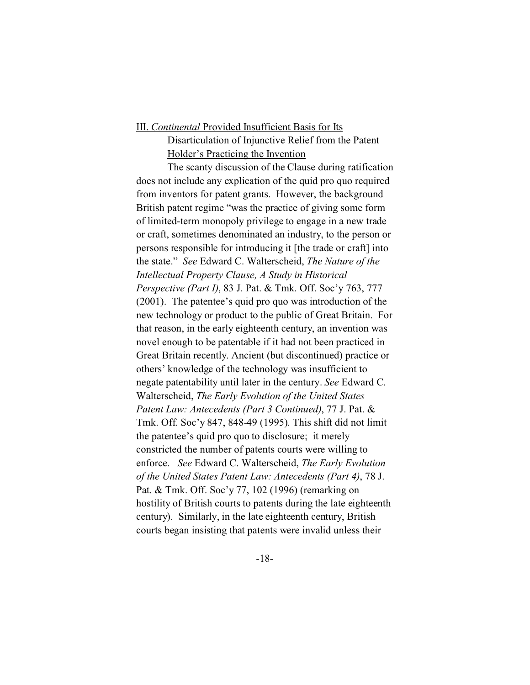# III. *Continental* Provided Insufficient Basis for Its Disarticulation of Injunctive Relief from the Patent Holder's Practicing the Invention

The scanty discussion of the Clause during ratification does not include any explication of the quid pro quo required from inventors for patent grants. However, the background British patent regime "was the practice of giving some form of limited-term monopoly privilege to engage in a new trade or craft, sometimes denominated an industry, to the person or persons responsible for introducing it [the trade or craft] into the state." *See* Edward C. Walterscheid, *The Nature of the Intellectual Property Clause, A Study in Historical Perspective (Part I)*, 83 J. Pat. & Tmk. Off. Soc'y 763, 777 (2001). The patentee's quid pro quo was introduction of the new technology or product to the public of Great Britain. For that reason, in the early eighteenth century, an invention was novel enough to be patentable if it had not been practiced in Great Britain recently. Ancient (but discontinued) practice or others' knowledge of the technology was insufficient to negate patentability until later in the century. *See* Edward C. Walterscheid, *The Early Evolution of the United States Patent Law: Antecedents (Part 3 Continued)*, 77 J. Pat. & Tmk. Off. Soc'y 847, 848-49 (1995). This shift did not limit the patentee's quid pro quo to disclosure; it merely constricted the number of patents courts were willing to enforce. *See* Edward C. Walterscheid, *The Early Evolution of the United States Patent Law: Antecedents (Part 4)*, 78 J. Pat. & Tmk. Off. Soc'y 77, 102 (1996) (remarking on hostility of British courts to patents during the late eighteenth century). Similarly, in the late eighteenth century, British courts began insisting that patents were invalid unless their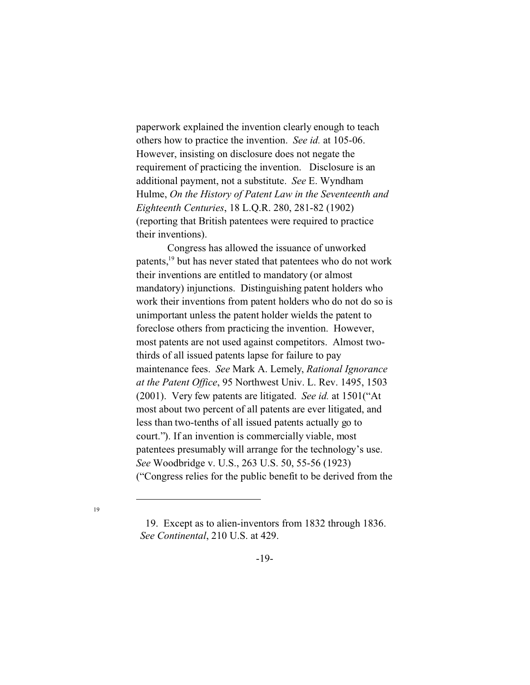paperwork explained the invention clearly enough to teach others how to practice the invention. *See id.* at 105-06. However, insisting on disclosure does not negate the requirement of practicing the invention. Disclosure is an additional payment, not a substitute. *See* E. Wyndham Hulme, *On the History of Patent Law in the Seventeenth and Eighteenth Centuries*, 18 L.Q.R. 280, 281-82 (1902) (reporting that British patentees were required to practice their inventions).

Congress has allowed the issuance of unworked patents,<sup>19</sup> but has never stated that patentees who do not work their inventions are entitled to mandatory (or almost mandatory) injunctions. Distinguishing patent holders who work their inventions from patent holders who do not do so is unimportant unless the patent holder wields the patent to foreclose others from practicing the invention. However, most patents are not used against competitors. Almost twothirds of all issued patents lapse for failure to pay maintenance fees. *See* Mark A. Lemely, *Rational Ignorance at the Patent Office*, 95 Northwest Univ. L. Rev. 1495, 1503 (2001). Very few patents are litigated. *See id.* at 1501("At most about two percent of all patents are ever litigated, and less than two-tenths of all issued patents actually go to court."). If an invention is commercially viable, most patentees presumably will arrange for the technology's use. *See* Woodbridge v. U.S., 263 U.S. 50, 55-56 (1923) ("Congress relies for the public benefit to be derived from the

 <sup>19.</sup> Except as to alien-inventors from 1832 through 1836. *See Continental*, 210 U.S. at 429.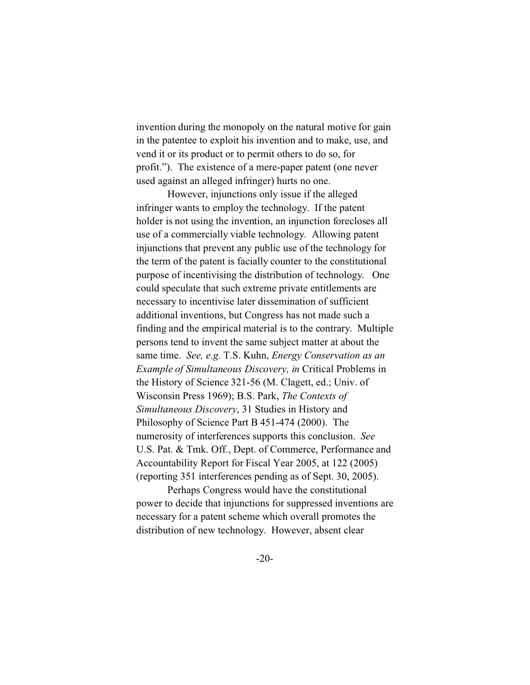invention during the monopoly on the natural motive for gain in the patentee to exploit his invention and to make, use, and vend it or its product or to permit others to do so, for profit."). The existence of a mere-paper patent (one never used against an alleged infringer) hurts no one.

However, injunctions only issue if the alleged infringer wants to employ the technology. If the patent holder is not using the invention, an injunction forecloses all use of a commercially viable technology. Allowing patent injunctions that prevent any public use of the technology for the term of the patent is facially counter to the constitutional purpose of incentivising the distribution of technology. One could speculate that such extreme private entitlements are necessary to incentivise later dissemination of sufficient additional inventions, but Congress has not made such a finding and the empirical material is to the contrary. Multiple persons tend to invent the same subject matter at about the same time. *See, e.g.* T.S. Kuhn, *Energy Conservation as an Example of Simultaneous Discovery, in* Critical Problems in the History of Science 321-56 (M. Clagett, ed.; Univ. of Wisconsin Press 1969); B.S. Park, *The Contexts of Simultaneous Discovery*, 31 Studies in History and Philosophy of Science Part B 451-474 (2000). The numerosity of interferences supports this conclusion. *See* U.S. Pat. & Tmk. Off., Dept. of Commerce, Performance and Accountability Report for Fiscal Year 2005, at 122 (2005) (reporting 351 interferences pending as of Sept. 30, 2005).

Perhaps Congress would have the constitutional power to decide that injunctions for suppressed inventions are necessary for a patent scheme which overall promotes the distribution of new technology. However, absent clear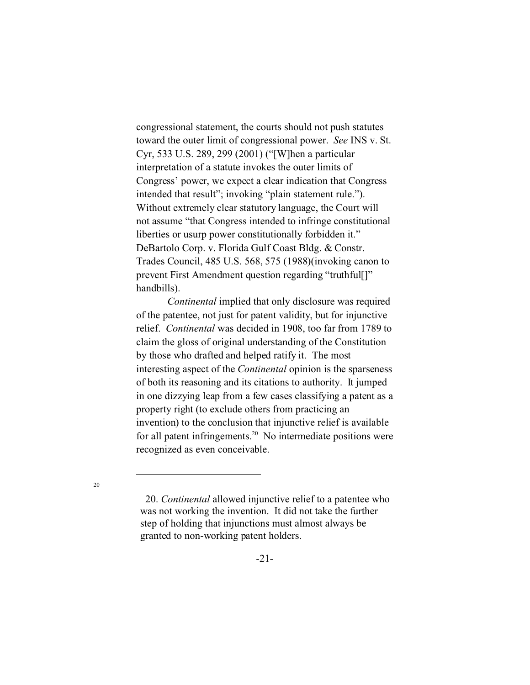congressional statement, the courts should not push statutes toward the outer limit of congressional power. *See* INS v. St. Cyr, 533 U.S. 289, 299 (2001) ("[W]hen a particular interpretation of a statute invokes the outer limits of Congress' power, we expect a clear indication that Congress intended that result"; invoking "plain statement rule."). Without extremely clear statutory language, the Court will not assume "that Congress intended to infringe constitutional liberties or usurp power constitutionally forbidden it." DeBartolo Corp. v. Florida Gulf Coast Bldg. & Constr. Trades Council, 485 U.S. 568, 575 (1988)(invoking canon to prevent First Amendment question regarding "truthful[]" handbills).

*Continental* implied that only disclosure was required of the patentee, not just for patent validity, but for injunctive relief. *Continental* was decided in 1908, too far from 1789 to claim the gloss of original understanding of the Constitution by those who drafted and helped ratify it. The most interesting aspect of the *Continental* opinion is the sparseness of both its reasoning and its citations to authority. It jumped in one dizzying leap from a few cases classifying a patent as a property right (to exclude others from practicing an invention) to the conclusion that injunctive relief is available for all patent infringements. $20$  No intermediate positions were recognized as even conceivable.

 <sup>20.</sup> *Continental* allowed injunctive relief to a patentee who was not working the invention. It did not take the further step of holding that injunctions must almost always be granted to non-working patent holders.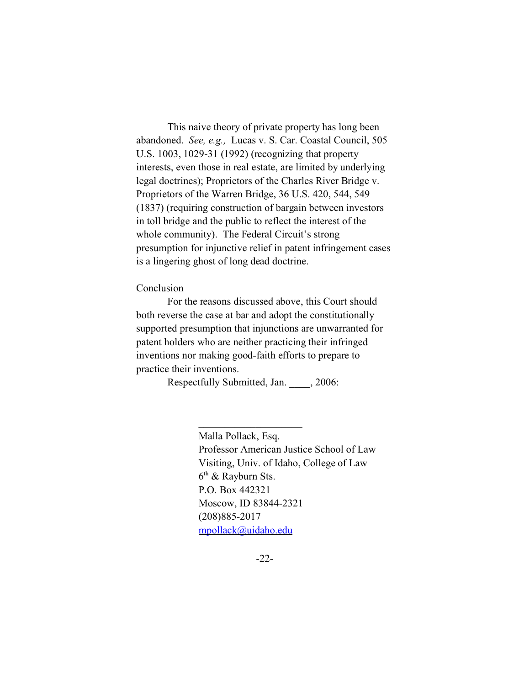This naive theory of private property has long been abandoned. *See, e.g.,* Lucas v. S. Car. Coastal Council, 505 U.S. 1003, 1029-31 (1992) (recognizing that property interests, even those in real estate, are limited by underlying legal doctrines); Proprietors of the Charles River Bridge v. Proprietors of the Warren Bridge, 36 U.S. 420, 544, 549 (1837) (requiring construction of bargain between investors in toll bridge and the public to reflect the interest of the whole community). The Federal Circuit's strong presumption for injunctive relief in patent infringement cases is a lingering ghost of long dead doctrine.

#### Conclusion

For the reasons discussed above, this Court should both reverse the case at bar and adopt the constitutionally supported presumption that injunctions are unwarranted for patent holders who are neither practicing their infringed inventions nor making good-faith efforts to prepare to practice their inventions.

Respectfully Submitted, Jan. \_\_\_\_, 2006:

 $\overline{\phantom{a}}$  , and the set of the set of the set of the set of the set of the set of the set of the set of the set of the set of the set of the set of the set of the set of the set of the set of the set of the set of the s

Malla Pollack, Esq. Professor American Justice School of Law Visiting, Univ. of Idaho, College of Law 6 th & Rayburn Sts. P.O. Box 442321 Moscow, ID 83844-2321 (208)885-2017 [mpollack@uidaho.edu](mailto:mpollack@uidaho.edu)